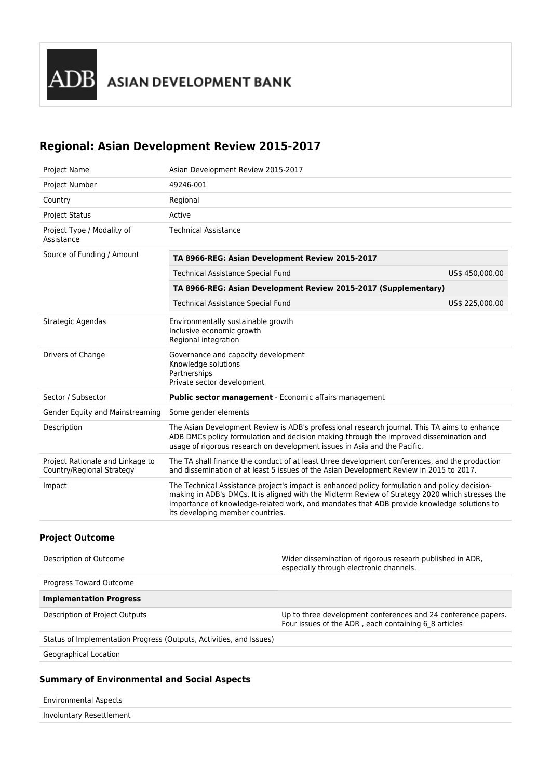# **Regional: Asian Development Review 2015-2017**

| <b>Project Name</b>                                           | Asian Development Review 2015-2017                                                                                                                                                                                                                                                                                                 |                 |  |  |  |
|---------------------------------------------------------------|------------------------------------------------------------------------------------------------------------------------------------------------------------------------------------------------------------------------------------------------------------------------------------------------------------------------------------|-----------------|--|--|--|
| Project Number                                                | 49246-001                                                                                                                                                                                                                                                                                                                          |                 |  |  |  |
| Country                                                       | Regional                                                                                                                                                                                                                                                                                                                           |                 |  |  |  |
| <b>Project Status</b>                                         | Active                                                                                                                                                                                                                                                                                                                             |                 |  |  |  |
| Project Type / Modality of<br>Assistance                      | <b>Technical Assistance</b>                                                                                                                                                                                                                                                                                                        |                 |  |  |  |
| Source of Funding / Amount                                    | TA 8966-REG: Asian Development Review 2015-2017                                                                                                                                                                                                                                                                                    |                 |  |  |  |
|                                                               | Technical Assistance Special Fund<br>US\$ 450,000.00                                                                                                                                                                                                                                                                               |                 |  |  |  |
|                                                               | TA 8966-REG: Asian Development Review 2015-2017 (Supplementary)                                                                                                                                                                                                                                                                    |                 |  |  |  |
|                                                               | Technical Assistance Special Fund                                                                                                                                                                                                                                                                                                  | US\$ 225,000.00 |  |  |  |
| Strategic Agendas                                             | Environmentally sustainable growth<br>Inclusive economic growth<br>Regional integration                                                                                                                                                                                                                                            |                 |  |  |  |
| Drivers of Change                                             | Governance and capacity development<br>Knowledge solutions<br>Partnerships<br>Private sector development                                                                                                                                                                                                                           |                 |  |  |  |
| Sector / Subsector                                            | Public sector management - Economic affairs management                                                                                                                                                                                                                                                                             |                 |  |  |  |
| Gender Equity and Mainstreaming                               | Some gender elements                                                                                                                                                                                                                                                                                                               |                 |  |  |  |
| Description                                                   | The Asian Development Review is ADB's professional research journal. This TA aims to enhance<br>ADB DMCs policy formulation and decision making through the improved dissemination and<br>usage of rigorous research on development issues in Asia and the Pacific.                                                                |                 |  |  |  |
| Project Rationale and Linkage to<br>Country/Regional Strategy | The TA shall finance the conduct of at least three development conferences, and the production<br>and dissemination of at least 5 issues of the Asian Development Review in 2015 to 2017.                                                                                                                                          |                 |  |  |  |
| Impact                                                        | The Technical Assistance project's impact is enhanced policy formulation and policy decision-<br>making in ADB's DMCs. It is aligned with the Midterm Review of Strategy 2020 which stresses the<br>importance of knowledge-related work, and mandates that ADB provide knowledge solutions to<br>its developing member countries. |                 |  |  |  |
|                                                               |                                                                                                                                                                                                                                                                                                                                    |                 |  |  |  |

#### **Project Outcome**

| Description of Outcome                                              | Wider dissemination of rigorous researh published in ADR,<br>especially through electronic channels.                  |
|---------------------------------------------------------------------|-----------------------------------------------------------------------------------------------------------------------|
| Progress Toward Outcome                                             |                                                                                                                       |
| <b>Implementation Progress</b>                                      |                                                                                                                       |
| Description of Project Outputs                                      | Up to three development conferences and 24 conference papers.<br>Four issues of the ADR, each containing 6 8 articles |
| Status of Implementation Progress (Outputs, Activities, and Issues) |                                                                                                                       |

Geographical Location

# **Summary of Environmental and Social Aspects**

Environmental Aspects

Involuntary Resettlement